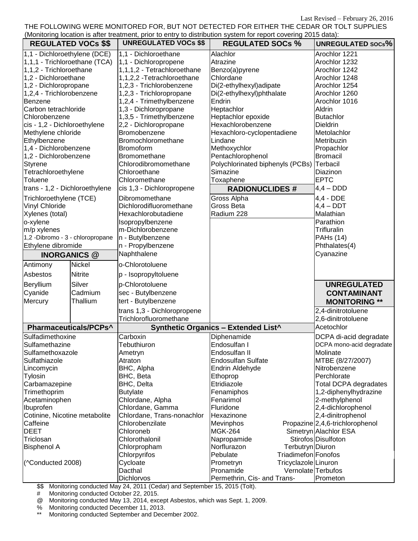Last Revised – February 26, 2016

THE FOLLOWING WERE MONITORED FOR, BUT NOT DETECTED FOR EITHER THE CEDAR OR TOLT SUPPLIES (Monitoring location is after treatment, prior to entry to distribution system for report covering 2015 data):

| (Monitoring location is after treatment, prior to chtry to distribution system for report covering zo is data).<br><b>REGULATED VOCs \$\$</b> |                | <b>UNREGULATED VOCs \$\$</b> | <b>REGULATED SOCs %</b>                    |                      | <b>UNREGULATED SOCS%</b>        |
|-----------------------------------------------------------------------------------------------------------------------------------------------|----------------|------------------------------|--------------------------------------------|----------------------|---------------------------------|
| 1,1 - Dichloroethylene (DCE)                                                                                                                  |                | 1,1 - Dichloroethane         | Alachlor                                   |                      | Arochlor 1221                   |
| 1,1,1 - Trichloroethane (TCA)                                                                                                                 |                | 1,1 - Dichloropropene        | Atrazine                                   |                      | Arochlor 1232                   |
| 1,1,2 - Trichloroethane                                                                                                                       |                | 1,1,1,2 - Tetrachloroethane  | Benzo(a)pyrene                             |                      | Arochlor 1242                   |
| 1,2 - Dichloroethane                                                                                                                          |                | 1,1,2,2 - Tetrachloroethane  | Chlordane                                  |                      | Arochlor 1248                   |
| 1,2 - Dichloropropane                                                                                                                         |                | 1,2,3 - Trichlorobenzene     | Di(2-ethylhexyl)adipate                    |                      | Arochlor 1254                   |
| 1,2,4 - Trichlorobenzene                                                                                                                      |                | 1,2,3 - Trichloropropane     | Di(2-ethylhexyl)phthalate                  |                      | Arochlor 1260                   |
|                                                                                                                                               |                | 1,2,4 - Trimethylbenzene     | Endrin                                     |                      | Arochlor 1016                   |
| Benzene<br>Carbon tetrachloride                                                                                                               |                | 1,3 - Dichloropropane        | Heptachlor                                 |                      | Aldrin                          |
| Chlorobenzene                                                                                                                                 |                |                              | Heptachlor epoxide                         |                      | <b>Butachlor</b>                |
|                                                                                                                                               |                | 1,3,5 - Trimethylbenzene     | Hexachlorobenzene                          |                      |                                 |
| cis - 1,2 - Dichloroethylene                                                                                                                  |                | 2,2 - Dichloropropane        |                                            |                      | <b>Dieldrin</b>                 |
| Methylene chloride                                                                                                                            |                | Bromobenzene                 | Hexachloro-cyclopentadiene                 |                      | Metolachlor                     |
| Ethylbenzene                                                                                                                                  |                | Bromochloromethane           | Lindane                                    |                      | Metribuzin                      |
| 1,4 - Dichlorobenzene                                                                                                                         |                | <b>Bromoform</b>             | Methoxychlor                               |                      | Propachlor                      |
| 1,2 - Dichlorobenzene                                                                                                                         |                | <b>Bromomethane</b>          | Pentachlorophenol                          |                      | <b>Bromacil</b>                 |
| <b>Styrene</b>                                                                                                                                |                | Chlorodibromomethane         | Polychlorinated biphenyls (PCBs)           |                      | Terbacil                        |
| Tetrachloroethylene                                                                                                                           |                | Chloroethane                 | Simazine                                   |                      | Diazinon                        |
| Toluene                                                                                                                                       |                | Chloromethane                | Toxaphene                                  |                      | <b>EPTC</b>                     |
| trans - 1,2 - Dichloroethylene                                                                                                                |                | cis 1,3 - Dichloropropene    | <b>RADIONUCLIDES #</b>                     |                      | $4,4 - DDD$                     |
| Trichloroethylene (TCE)                                                                                                                       |                | Dibromomethane               | Gross Alpha                                |                      | 4,4 - DDE                       |
| <b>Vinyl Chloride</b>                                                                                                                         |                | Dichlorodifluoromethane      | Gross Beta                                 |                      | $4,4 -$ DDT                     |
| Xylenes (total)                                                                                                                               |                | Hexachlorobutadiene          | Radium 228                                 |                      | Malathian                       |
| o-xylene                                                                                                                                      |                | Isopropylbenzene             |                                            |                      | Parathion                       |
| m/p xylenes                                                                                                                                   |                | m-Dichlorobenzene            |                                            |                      | <b>Trifluralin</b>              |
| 1,2 -Dibromo - 3 - chloropropane                                                                                                              |                | n - Butylbenzene             |                                            |                      | PAH <sub>s</sub> (14)           |
| Ethylene dibromide                                                                                                                            |                | n - Propylbenzene            |                                            |                      | Phthalates(4)                   |
| <b>INORGANICS @</b>                                                                                                                           |                | Naphthalene                  |                                            |                      | Cyanazine                       |
| Antimony                                                                                                                                      | <b>Nickel</b>  | o-Chlorotoluene              |                                            |                      |                                 |
| Asbestos                                                                                                                                      | <b>Nitrite</b> | p - Isopropyltoluene         |                                            |                      |                                 |
| Beryllium                                                                                                                                     | Silver         | p-Chlorotoluene              |                                            |                      | <b>UNREGULATED</b>              |
| Cyanide                                                                                                                                       | Cadmium        | sec - Butylbenzene           |                                            |                      | <b>CONTAMINANT</b>              |
| Mercury                                                                                                                                       | Thallium       | tert - Butylbenzene          |                                            |                      | <b>MONITORING **</b>            |
|                                                                                                                                               |                | trans 1,3 - Dichloropropene  |                                            |                      | 2,4-dinitrotoluene              |
|                                                                                                                                               |                | Trichlorofluoromethane       |                                            |                      | 2,6-dinitrotoluene              |
| Pharmaceuticals/PCPs^                                                                                                                         |                |                              | <b>Synthetic Organics - Extended List^</b> |                      | Acetochlor                      |
| Sulfadimethoxine                                                                                                                              |                | Carboxin                     | Diphenamide                                |                      | DCPA di-acid degradate          |
| Sulfamethazine                                                                                                                                |                | Tebuthiuron                  | Endosulfan I                               |                      | DCPA mono-acid degradate        |
| Sulfamethoxazole                                                                                                                              |                | Ametryn                      | Endosulfan II                              |                      | Molinate                        |
| Sulfathiazole                                                                                                                                 |                | Atraton                      | <b>Endosulfan Sulfate</b>                  |                      | MTBE (8/27/2007)                |
| Lincomycin                                                                                                                                    |                | BHC, Alpha                   | Endrin Aldehyde                            |                      | Nitrobenzene                    |
| Tylosin                                                                                                                                       |                | BHC, Beta                    | Ethoprop                                   |                      | Perchlorate                     |
| Carbamazepine                                                                                                                                 |                | BHC, Delta                   | Etridiazole                                |                      | <b>Total DCPA degradates</b>    |
| Trimethoprim                                                                                                                                  |                | <b>Butylate</b>              | Fenamiphos                                 |                      | 1,2-diphenylhydrazine           |
| Acetaminophen                                                                                                                                 |                | Chlordane, Alpha             | Fenarimol                                  |                      | 2-methylphenol                  |
|                                                                                                                                               |                | Chlordane, Gamma             | Fluridone                                  |                      | 2,4-dichlorophenol              |
| Ibuprofen                                                                                                                                     |                |                              | Hexazinone                                 |                      |                                 |
| Cotinine, Nicotine metabolite                                                                                                                 |                | Chlordane, Trans-nonachlor   |                                            |                      | 2,4-dinitrophenol               |
| Caffeine                                                                                                                                      |                | Chlorobenzilate              | Mevinphos                                  |                      | Propazine 2,4,6-trichlorophenol |
| <b>DEET</b>                                                                                                                                   |                | Chloroneb                    | MGK-264                                    |                      | Simetryn Alachlor ESA           |
| Triclosan                                                                                                                                     |                | Chlorothalonil               | Napropamide                                |                      | Stirofos Disulfoton             |
| <b>Bisphenol A</b>                                                                                                                            |                | Chlorpropham                 | Norflurazon                                | Terbutryn Diuron     |                                 |
|                                                                                                                                               |                | Chlorpyrifos                 | Pebulate                                   | Triadimefon Fonofos  |                                 |
| (^Conducted 2008)                                                                                                                             |                | Cycloate                     | Prometryn                                  | Tricyclazole Linuron |                                 |
|                                                                                                                                               |                | Dacthal                      | Pronamide                                  |                      | Vernolate Terbufos              |
|                                                                                                                                               |                | Dichlorvos                   | Permethrin, Cis- and Trans-                |                      | Prometon                        |

\$\$ Monitoring conducted May 24, 2011 (Cedar) and September 15, 2015 (Tolt).

# Monitoring conducted October 22, 2015.<br>@ Monitoring conducted May 13, 2014, exc

@ Monitoring conducted May 13, 2014, except Asbestos, which was Sept. 1, 2009.

% Monitoring conducted December 11, 2013.<br>\*\* Monitoring conducted Sontamber and Dece

Monitoring conducted September and December 2002.